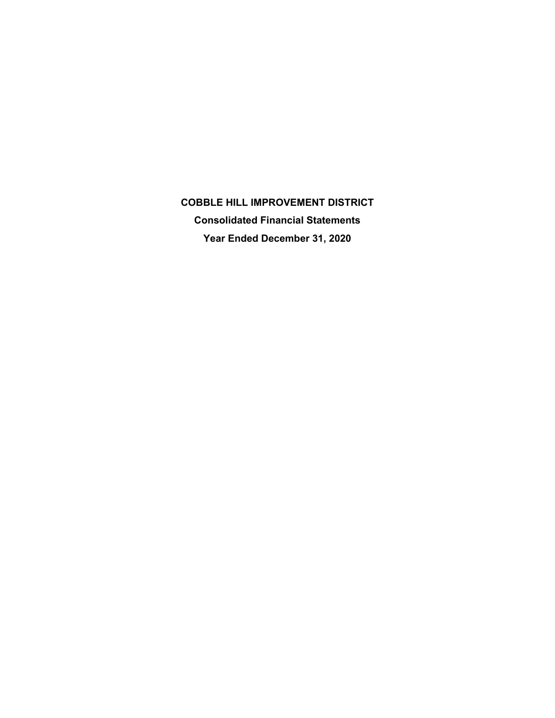**COBBLE HILL IMPROVEMENT DISTRICT Consolidated Financial Statements Year Ended December 31, 2020**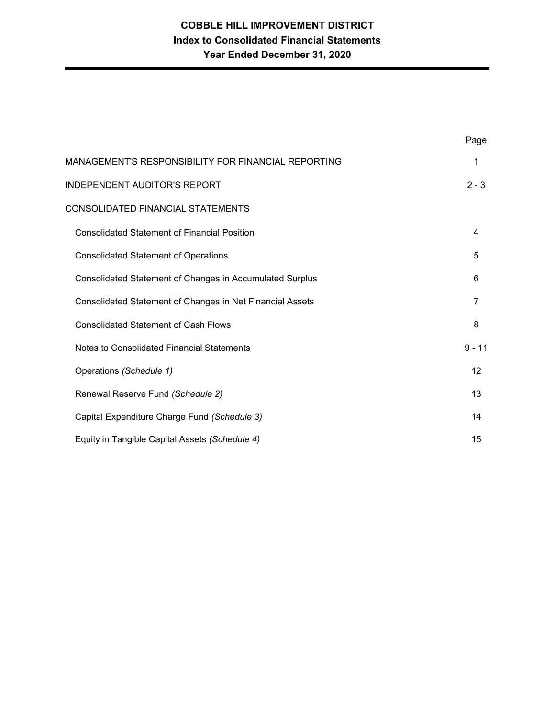# **COBBLE HILL IMPROVEMENT DISTRICT Index to Consolidated Financial Statements Year Ended December 31, 2020**

|                                                           | Page           |
|-----------------------------------------------------------|----------------|
| MANAGEMENT'S RESPONSIBILITY FOR FINANCIAL REPORTING       | 1              |
| INDEPENDENT AUDITOR'S REPORT                              | $2 - 3$        |
| CONSOLIDATED FINANCIAL STATEMENTS                         |                |
| <b>Consolidated Statement of Financial Position</b>       | 4              |
| <b>Consolidated Statement of Operations</b>               | 5              |
| Consolidated Statement of Changes in Accumulated Surplus  | 6              |
| Consolidated Statement of Changes in Net Financial Assets | $\overline{7}$ |
| <b>Consolidated Statement of Cash Flows</b>               | 8              |
| Notes to Consolidated Financial Statements                | $9 - 11$       |
| Operations (Schedule 1)                                   | 12             |
| Renewal Reserve Fund (Schedule 2)                         | 13             |
| Capital Expenditure Charge Fund (Schedule 3)              | 14             |
| Equity in Tangible Capital Assets (Schedule 4)            | 15             |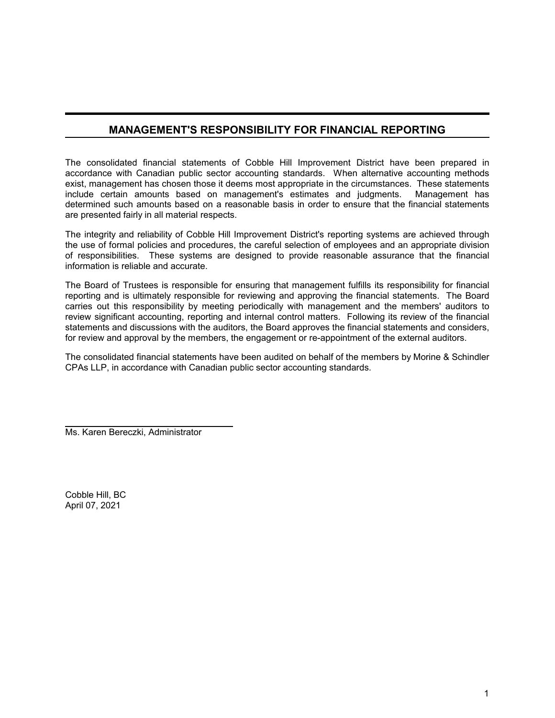### **MANAGEMENT'S RESPONSIBILITY FOR FINANCIAL REPORTING**

The consolidated financial statements of Cobble Hill Improvement District have been prepared in accordance with Canadian public sector accounting standards. When alternative accounting methods exist, management has chosen those it deems most appropriate in the circumstances. These statements include certain amounts based on management's estimates and judgments. Management has determined such amounts based on a reasonable basis in order to ensure that the financial statements are presented fairly in all material respects.

The integrity and reliability of Cobble Hill Improvement District's reporting systems are achieved through the use of formal policies and procedures, the careful selection of employees and an appropriate division of responsibilities. These systems are designed to provide reasonable assurance that the financial information is reliable and accurate.

The Board of Trustees is responsible for ensuring that management fulfills its responsibility for financial reporting and is ultimately responsible for reviewing and approving the financial statements. The Board carries out this responsibility by meeting periodically with management and the members' auditors to review significant accounting, reporting and internal control matters. Following its review of the financial statements and discussions with the auditors, the Board approves the financial statements and considers, for review and approval by the members, the engagement or re-appointment of the external auditors.

The consolidated financial statements have been audited on behalf of the members by Morine & Schindler CPAs LLP, in accordance with Canadian public sector accounting standards.

Ms. Karen Bereczki, Administrator

Cobble Hill, BC April 07, 2021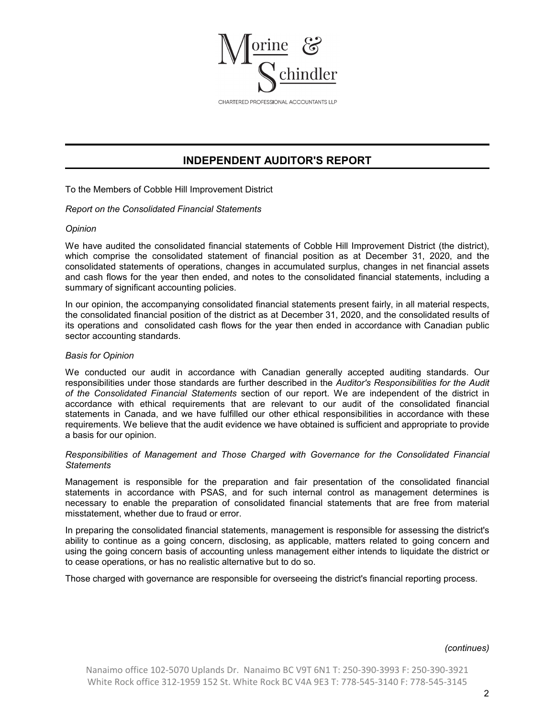

### **INDEPENDENT AUDITOR'S REPORT**

To the Members of Cobble Hill Improvement District

#### *Report on the Consolidated Financial Statements*

#### *Opinion*

We have audited the consolidated financial statements of Cobble Hill Improvement District (the district), which comprise the consolidated statement of financial position as at December 31, 2020, and the consolidated statements of operations, changes in accumulated surplus, changes in net financial assets and cash flows for the year then ended, and notes to the consolidated financial statements, including a summary of significant accounting policies.

In our opinion, the accompanying consolidated financial statements present fairly, in all material respects, the consolidated financial position of the district as at December 31, 2020, and the consolidated results of its operations and consolidated cash flows for the year then ended in accordance with Canadian public sector accounting standards.

#### *Basis for Opinion*

We conducted our audit in accordance with Canadian generally accepted auditing standards. Our responsibilities under those standards are further described in the *Auditor's Responsibilities for the Audit of the Consolidated Financial Statements* section of our report. We are independent of the district in accordance with ethical requirements that are relevant to our audit of the consolidated financial statements in Canada, and we have fulfilled our other ethical responsibilities in accordance with these requirements. We believe that the audit evidence we have obtained is sufficient and appropriate to provide a basis for our opinion.

#### *Responsibilities of Management and Those Charged with Governance for the Consolidated Financial Statements*

Management is responsible for the preparation and fair presentation of the consolidated financial statements in accordance with PSAS, and for such internal control as management determines is necessary to enable the preparation of consolidated financial statements that are free from material misstatement, whether due to fraud or error.

In preparing the consolidated financial statements, management is responsible for assessing the district's ability to continue as a going concern, disclosing, as applicable, matters related to going concern and using the going concern basis of accounting unless management either intends to liquidate the district or to cease operations, or has no realistic alternative but to do so.

Those charged with governance are responsible for overseeing the district's financial reporting process.

#### *(continues)*

Nanaimo office 102-5070 Uplands Dr. Nanaimo BC V9T 6N1 T: 250-390-3993 F: 250-390-3921 White Rock office 312-1959 152 St. White Rock BC V4A 9E3 T: 778-545-3140 F: 778-545-3145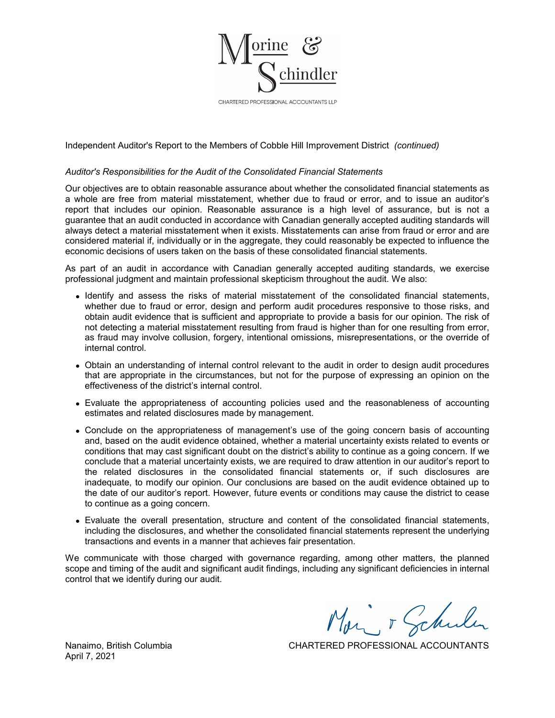

CHARTERED PROFESSIONAL ACCOUNTANTS LLP

Independent Auditor's Report to the Members of Cobble Hill Improvement District *(continued)*

#### *Auditor's Responsibilities for the Audit of the Consolidated Financial Statements*

Our objectives are to obtain reasonable assurance about whether the consolidated financial statements as a whole are free from material misstatement, whether due to fraud or error, and to issue an auditor's report that includes our opinion. Reasonable assurance is a high level of assurance, but is not a guarantee that an audit conducted in accordance with Canadian generally accepted auditing standards will always detect a material misstatement when it exists. Misstatements can arise from fraud or error and are considered material if, individually or in the aggregate, they could reasonably be expected to influence the economic decisions of users taken on the basis of these consolidated financial statements.

As part of an audit in accordance with Canadian generally accepted auditing standards, we exercise professional judgment and maintain professional skepticism throughout the audit. We also:

- Identify and assess the risks of material misstatement of the consolidated financial statements, whether due to fraud or error, design and perform audit procedures responsive to those risks, and obtain audit evidence that is sufficient and appropriate to provide a basis for our opinion. The risk of not detecting a material misstatement resulting from fraud is higher than for one resulting from error, as fraud may involve collusion, forgery, intentional omissions, misrepresentations, or the override of internal control.
- Obtain an understanding of internal control relevant to the audit in order to design audit procedures that are appropriate in the circumstances, but not for the purpose of expressing an opinion on the effectiveness of the district's internal control.
- Evaluate the appropriateness of accounting policies used and the reasonableness of accounting estimates and related disclosures made by management.
- Conclude on the appropriateness of management's use of the going concern basis of accounting and, based on the audit evidence obtained, whether a material uncertainty exists related to events or conditions that may cast significant doubt on the district's ability to continue as a going concern. If we conclude that a material uncertainty exists, we are required to draw attention in our auditor's report to the related disclosures in the consolidated financial statements or, if such disclosures are inadequate, to modify our opinion. Our conclusions are based on the audit evidence obtained up to the date of our auditor's report. However, future events or conditions may cause the district to cease to continue as a going concern.
- Evaluate the overall presentation, structure and content of the consolidated financial statements, including the disclosures, and whether the consolidated financial statements represent the underlying transactions and events in a manner that achieves fair presentation.

We communicate with those charged with governance regarding, among other matters, the planned scope and timing of the audit and significant audit findings, including any significant deficiencies in internal control that we identify during our audit.

Mar & Schulen

April 7, 2021

Nanaimo, British Columbia 
and CHARTERED PROFESSIONAL ACCOUNTANTS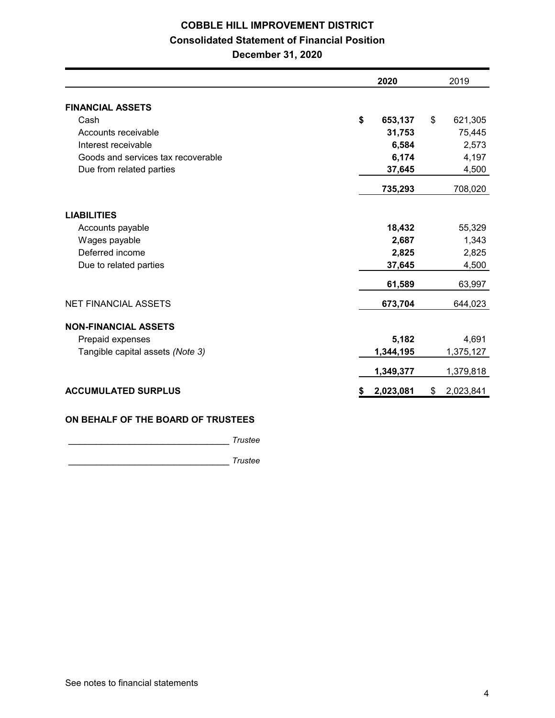# **COBBLE HILL IMPROVEMENT DISTRICT Consolidated Statement of Financial Position**

**December 31, 2020**

|                                    |    | 2020      | 2019            |
|------------------------------------|----|-----------|-----------------|
| <b>FINANCIAL ASSETS</b>            |    |           |                 |
| Cash                               | \$ | 653,137   | \$<br>621,305   |
| Accounts receivable                |    | 31,753    | 75,445          |
| Interest receivable                |    | 6,584     | 2,573           |
| Goods and services tax recoverable |    | 6,174     | 4,197           |
| Due from related parties           |    | 37,645    | 4,500           |
|                                    |    | 735,293   | 708,020         |
| <b>LIABILITIES</b>                 |    |           |                 |
| Accounts payable                   |    | 18,432    | 55,329          |
| Wages payable                      |    | 2,687     | 1,343           |
| Deferred income                    |    | 2,825     | 2,825           |
| Due to related parties             |    | 37,645    | 4,500           |
|                                    |    | 61,589    | 63,997          |
| <b>NET FINANCIAL ASSETS</b>        |    | 673,704   | 644,023         |
| <b>NON-FINANCIAL ASSETS</b>        |    |           |                 |
| Prepaid expenses                   |    | 5,182     | 4,691           |
| Tangible capital assets (Note 3)   |    | 1,344,195 | 1,375,127       |
|                                    |    | 1,349,377 | 1,379,818       |
| <b>ACCUMULATED SURPLUS</b>         | S  | 2,023,081 | \$<br>2,023,841 |
| ON BEHALF OF THE BOARD OF TRUSTEES |    |           |                 |

\_\_\_\_\_\_\_\_\_\_\_\_\_\_\_\_\_\_\_\_\_\_\_\_\_\_\_\_\_ *Trustee*

\_\_\_\_\_\_\_\_\_\_\_\_\_\_\_\_\_\_\_\_\_\_\_\_\_\_\_\_\_ *Trustee*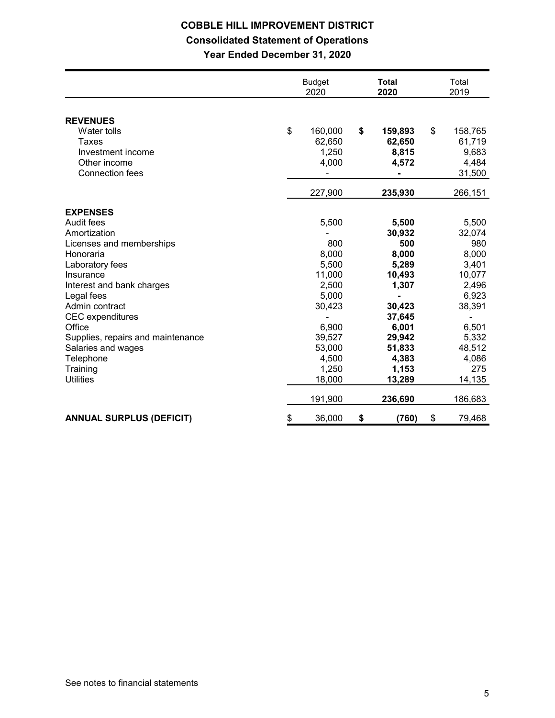# **COBBLE HILL IMPROVEMENT DISTRICT Consolidated Statement of Operations Year Ended December 31, 2020**

|                                   | <b>Budget</b><br>2020 | <b>Total</b><br>2020 | Total<br>2019 |
|-----------------------------------|-----------------------|----------------------|---------------|
| <b>REVENUES</b>                   |                       |                      |               |
| Water tolls                       | \$<br>160,000         | \$<br>159,893        | \$<br>158,765 |
| Taxes                             | 62,650                | 62,650               | 61,719        |
| Investment income                 | 1,250                 | 8,815                | 9,683         |
| Other income                      | 4,000                 | 4,572                | 4,484         |
| Connection fees                   |                       |                      | 31,500        |
|                                   | 227,900               | 235,930              | 266,151       |
|                                   |                       |                      |               |
| <b>EXPENSES</b>                   |                       |                      |               |
| Audit fees                        | 5,500                 | 5,500                | 5,500         |
| Amortization                      |                       | 30,932               | 32,074        |
| Licenses and memberships          | 800                   | 500                  | 980           |
| Honoraria                         | 8,000                 | 8,000                | 8,000         |
| Laboratory fees                   | 5,500                 | 5,289                | 3,401         |
| Insurance                         | 11,000                | 10,493               | 10,077        |
| Interest and bank charges         | 2,500                 | 1,307                | 2,496         |
| Legal fees                        | 5,000                 |                      | 6,923         |
| Admin contract                    | 30,423                | 30,423               | 38,391        |
| <b>CEC</b> expenditures           |                       | 37,645               |               |
| Office                            | 6,900                 | 6,001                | 6,501         |
| Supplies, repairs and maintenance | 39,527                | 29,942               | 5,332         |
| Salaries and wages                | 53,000                | 51,833               | 48,512        |
| Telephone                         | 4,500                 | 4,383                | 4,086         |
| Training                          | 1,250                 | 1,153                | 275           |
| <b>Utilities</b>                  | 18,000                | 13,289               | 14,135        |
|                                   | 191,900               | 236,690              | 186,683       |
| <b>ANNUAL SURPLUS (DEFICIT)</b>   | \$<br>36,000          | \$<br>(760)          | \$<br>79,468  |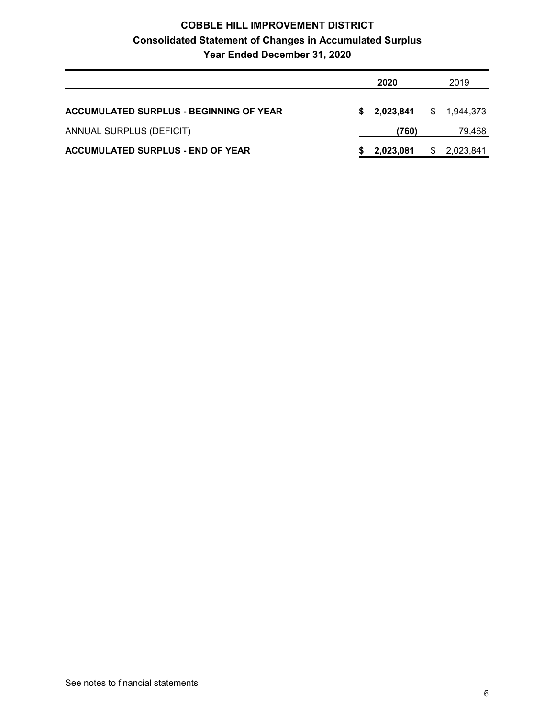# **COBBLE HILL IMPROVEMENT DISTRICT Consolidated Statement of Changes in Accumulated Surplus Year Ended December 31, 2020**

|                                                |    | 2020      | 2019        |
|------------------------------------------------|----|-----------|-------------|
|                                                |    |           |             |
| <b>ACCUMULATED SURPLUS - BEGINNING OF YEAR</b> | S. | 2,023,841 | \$1,944,373 |
| ANNUAL SURPLUS (DEFICIT)                       |    | (760)     | 79,468      |
| <b>ACCUMULATED SURPLUS - END OF YEAR</b>       |    | 2,023,081 | \$2,023,841 |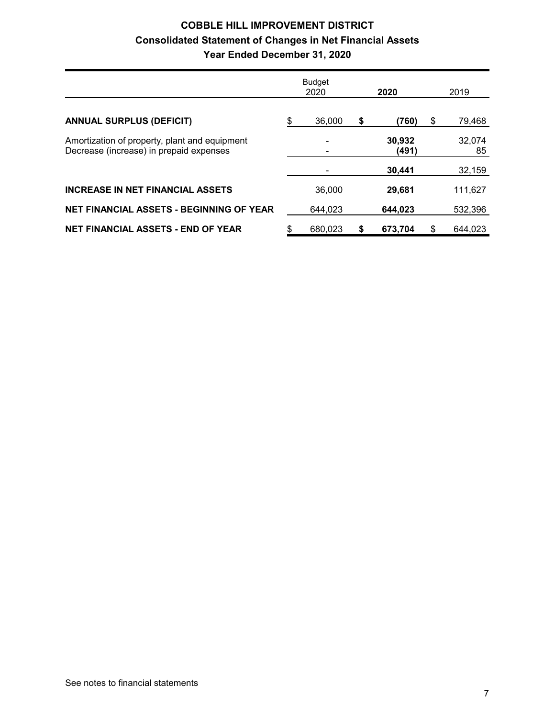# **COBBLE HILL IMPROVEMENT DISTRICT Consolidated Statement of Changes in Net Financial Assets Year Ended December 31, 2020**

|                                                                                          | <b>Budget</b><br>2020 | 2020            | 2019          |
|------------------------------------------------------------------------------------------|-----------------------|-----------------|---------------|
| <b>ANNUAL SURPLUS (DEFICIT)</b>                                                          | \$<br>36,000          | \$<br>(760)     | \$<br>79,468  |
| Amortization of property, plant and equipment<br>Decrease (increase) in prepaid expenses |                       | 30,932<br>(491) | 32,074<br>85  |
|                                                                                          |                       | 30.441          | 32,159        |
| <b>INCREASE IN NET FINANCIAL ASSETS</b>                                                  | 36,000                | 29,681          | 111,627       |
| NET FINANCIAL ASSETS - BEGINNING OF YEAR                                                 | 644.023               | 644,023         | 532,396       |
| NET FINANCIAL ASSETS - END OF YEAR                                                       | \$<br>680,023         | \$<br>673,704   | \$<br>644.023 |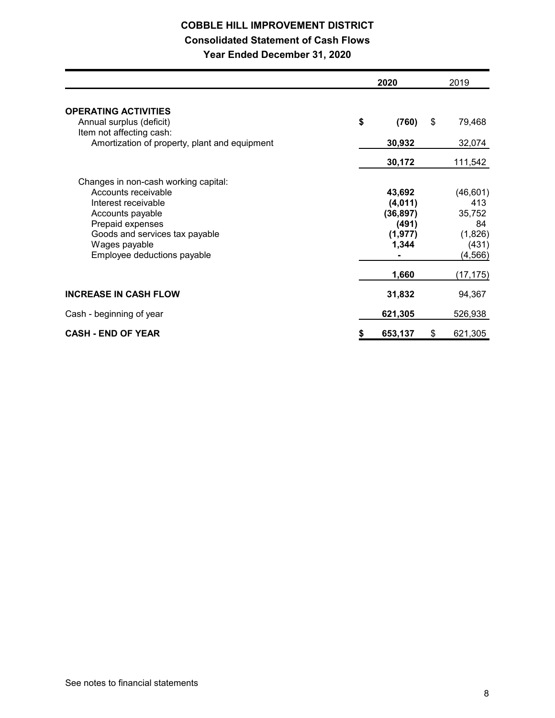# **COBBLE HILL IMPROVEMENT DISTRICT Consolidated Statement of Cash Flows Year Ended December 31, 2020**

|                                                                           | 2020          |    | 2019      |
|---------------------------------------------------------------------------|---------------|----|-----------|
| <b>OPERATING ACTIVITIES</b>                                               |               |    |           |
| Annual surplus (deficit)                                                  | \$<br>(760)   | \$ | 79,468    |
| Item not affecting cash:<br>Amortization of property, plant and equipment | 30,932        |    | 32,074    |
|                                                                           | 30,172        |    | 111,542   |
| Changes in non-cash working capital:                                      |               |    |           |
| Accounts receivable                                                       | 43,692        |    | (46, 601) |
| Interest receivable                                                       | (4,011)       |    | 413       |
| Accounts payable                                                          | (36, 897)     |    | 35,752    |
| Prepaid expenses                                                          | (491)         |    | 84        |
| Goods and services tax payable                                            | (1, 977)      |    | (1,826)   |
| Wages payable                                                             | 1,344         |    | (431)     |
| Employee deductions payable                                               |               |    | (4, 566)  |
|                                                                           | 1,660         |    | (17,175)  |
| <b>INCREASE IN CASH FLOW</b>                                              | 31,832        |    | 94,367    |
| Cash - beginning of year                                                  | 621,305       |    | 526,938   |
| <b>CASH - END OF YEAR</b>                                                 | \$<br>653,137 | \$ | 621,305   |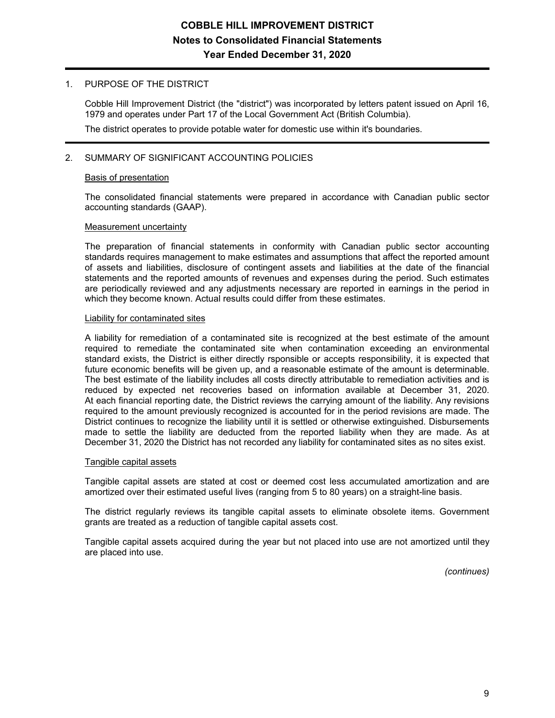#### 1. PURPOSE OF THE DISTRICT

Cobble Hill Improvement District (the "district") was incorporated by letters patent issued on April 16, 1979 and operates under Part 17 of the Local Government Act (British Columbia).

The district operates to provide potable water for domestic use within it's boundaries.

#### 2. SUMMARY OF SIGNIFICANT ACCOUNTING POLICIES

#### Basis of presentation

The consolidated financial statements were prepared in accordance with Canadian public sector accounting standards (GAAP).

#### Measurement uncertainty

The preparation of financial statements in conformity with Canadian public sector accounting standards requires management to make estimates and assumptions that affect the reported amount of assets and liabilities, disclosure of contingent assets and liabilities at the date of the financial statements and the reported amounts of revenues and expenses during the period. Such estimates are periodically reviewed and any adjustments necessary are reported in earnings in the period in which they become known. Actual results could differ from these estimates.

#### Liability for contaminated sites

A liability for remediation of a contaminated site is recognized at the best estimate of the amount required to remediate the contaminated site when contamination exceeding an environmental standard exists, the District is either directly rsponsible or accepts responsibility, it is expected that future economic benefits will be given up, and a reasonable estimate of the amount is determinable. The best estimate of the liability includes all costs directly attributable to remediation activities and is reduced by expected net recoveries based on information available at December 31, 2020. At each financial reporting date, the District reviews the carrying amount of the liability. Any revisions required to the amount previously recognized is accounted for in the period revisions are made. The District continues to recognize the liability until it is settled or otherwise extinguished. Disbursements made to settle the liability are deducted from the reported liability when they are made. As at December 31, 2020 the District has not recorded any liability for contaminated sites as no sites exist.

#### Tangible capital assets

Tangible capital assets are stated at cost or deemed cost less accumulated amortization and are amortized over their estimated useful lives (ranging from 5 to 80 years) on a straight-line basis.

The district regularly reviews its tangible capital assets to eliminate obsolete items. Government grants are treated as a reduction of tangible capital assets cost.

Tangible capital assets acquired during the year but not placed into use are not amortized until they are placed into use.

*(continues)*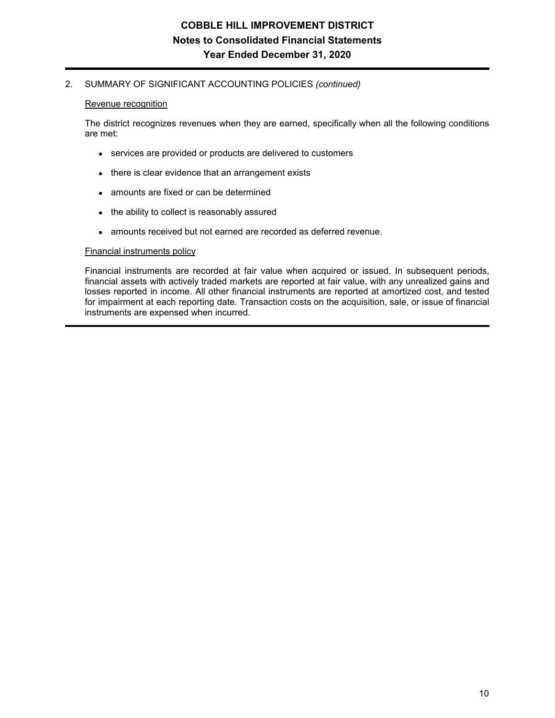### 2. SUMMARY OF SIGNIFICANT ACCOUNTING POLICIES *(continued)*

### Revenue recognition

The district recognizes revenues when they are earned, specifically when all the following conditions are met:

- services are provided or products are delivered to customers
- there is clear evidence that an arrangement exists
- amounts are fixed or can be determined
- the ability to collect is reasonably assured
- amounts received but not earned are recorded as deferred revenue.

### Financial instruments policy

Financial instruments are recorded at fair value when acquired or issued. In subsequent periods, financial assets with actively traded markets are reported at fair value, with any unrealized gains and losses reported in income. All other financial instruments are reported at amortized cost, and tested for impairment at each reporting date. Transaction costs on the acquisition, sale, or issue of financial instruments are expensed when incurred.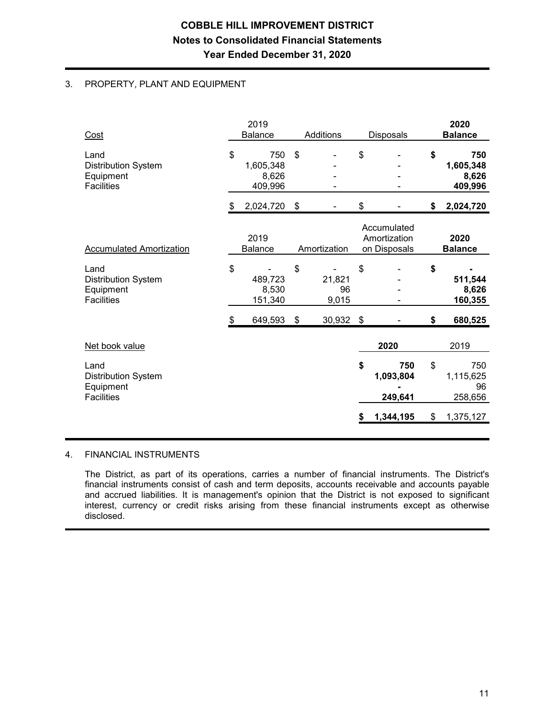### **COBBLE HILL IMPROVEMENT DISTRICT Notes to Consolidated Financial Statements Year Ended December 31, 2020**

### 3. PROPERTY, PLANT AND EQUIPMENT

| Cost                                                                 | 2019<br><b>Balance</b>                     |            | <b>Additions</b>      |    | <b>Disposals</b>                            | 2020<br><b>Balance</b>                     |
|----------------------------------------------------------------------|--------------------------------------------|------------|-----------------------|----|---------------------------------------------|--------------------------------------------|
| Land<br><b>Distribution System</b><br>Equipment<br><b>Facilities</b> | \$<br>750<br>1,605,348<br>8,626<br>409,996 | \$         |                       | \$ |                                             | \$<br>750<br>1,605,348<br>8,626<br>409,996 |
|                                                                      | \$<br>2,024,720                            | $\sqrt{3}$ |                       | \$ |                                             | \$<br>2,024,720                            |
| <b>Accumulated Amortization</b>                                      | 2019<br>Balance                            |            | Amortization          |    | Accumulated<br>Amortization<br>on Disposals | 2020<br><b>Balance</b>                     |
| Land<br><b>Distribution System</b><br>Equipment<br><b>Facilities</b> | \$<br>489,723<br>8,530<br>151,340          | \$         | 21,821<br>96<br>9,015 | \$ |                                             | \$<br>511,544<br>8,626<br>160,355          |
|                                                                      | \$<br>649,593                              | \$         | 30,932                | \$ |                                             | \$<br>680,525                              |
| Net book value                                                       |                                            |            |                       |    | 2020                                        | 2019                                       |
| Land<br><b>Distribution System</b><br>Equipment<br><b>Facilities</b> |                                            |            |                       | \$ | 750<br>1,093,804<br>249,641                 | \$<br>750<br>1,115,625<br>96<br>258,656    |
|                                                                      |                                            |            |                       | S  | 1,344,195                                   | \$<br>1,375,127                            |

#### 4. FINANCIAL INSTRUMENTS

The District, as part of its operations, carries a number of financial instruments. The District's financial instruments consist of cash and term deposits, accounts receivable and accounts payable and accrued liabilities. It is management's opinion that the District is not exposed to significant interest, currency or credit risks arising from these financial instruments except as otherwise disclosed.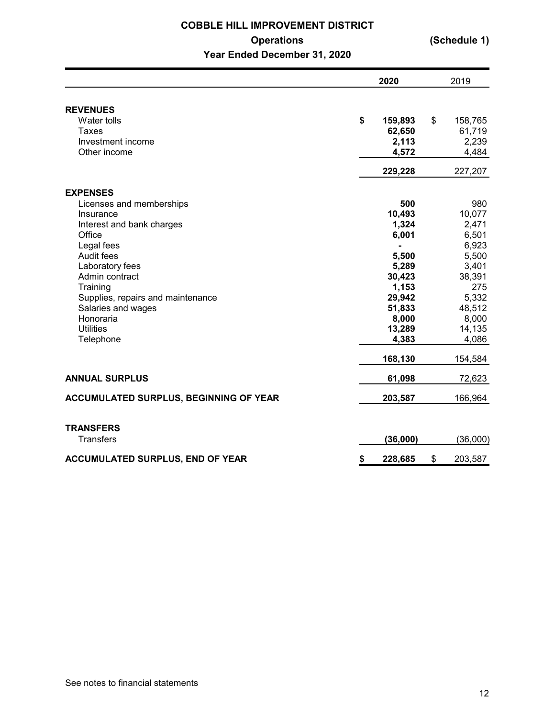# **COBBLE HILL IMPROVEMENT DISTRICT Operations (Schedule 1) Year Ended December 31, 2020**

|                                                                                                                                                                                                                                                                                       | 2020                                                                                                                            | 2019                                                                                                                                  |
|---------------------------------------------------------------------------------------------------------------------------------------------------------------------------------------------------------------------------------------------------------------------------------------|---------------------------------------------------------------------------------------------------------------------------------|---------------------------------------------------------------------------------------------------------------------------------------|
| <b>REVENUES</b><br>Water tolls<br>Taxes<br>Investment income<br>Other income                                                                                                                                                                                                          | \$<br>159,893<br>62,650<br>2,113<br>4,572                                                                                       | \$<br>158,765<br>61,719<br>2,239<br>4,484                                                                                             |
|                                                                                                                                                                                                                                                                                       | 229,228                                                                                                                         | 227,207                                                                                                                               |
| <b>EXPENSES</b><br>Licenses and memberships<br>Insurance<br>Interest and bank charges<br>Office<br>Legal fees<br>Audit fees<br>Laboratory fees<br>Admin contract<br>Training<br>Supplies, repairs and maintenance<br>Salaries and wages<br>Honoraria<br><b>Utilities</b><br>Telephone | 500<br>10,493<br>1,324<br>6,001<br>5,500<br>5,289<br>30,423<br>1,153<br>29,942<br>51,833<br>8,000<br>13,289<br>4,383<br>168,130 | 980<br>10,077<br>2,471<br>6,501<br>6,923<br>5,500<br>3,401<br>38,391<br>275<br>5,332<br>48,512<br>8,000<br>14,135<br>4,086<br>154,584 |
| <b>ANNUAL SURPLUS</b>                                                                                                                                                                                                                                                                 | 61,098                                                                                                                          | 72,623                                                                                                                                |
| ACCUMULATED SURPLUS, BEGINNING OF YEAR                                                                                                                                                                                                                                                | 203,587                                                                                                                         | 166,964                                                                                                                               |
| <b>TRANSFERS</b><br><b>Transfers</b><br><b>ACCUMULATED SURPLUS, END OF YEAR</b>                                                                                                                                                                                                       | \$<br>(36,000)<br>228,685                                                                                                       | \$<br>(36,000)<br>203,587                                                                                                             |
|                                                                                                                                                                                                                                                                                       |                                                                                                                                 |                                                                                                                                       |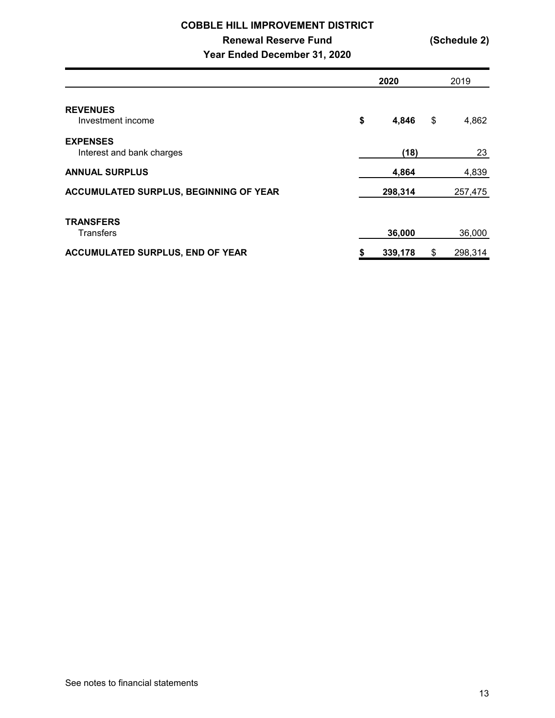### **COBBLE HILL IMPROVEMENT DISTRICT Renewal Reserve Fund (Schedule 2) Year Ended December 31, 2020**

|                                              | 2020          | 2019          |
|----------------------------------------------|---------------|---------------|
| <b>REVENUES</b><br>Investment income         | \$<br>4,846   | \$<br>4,862   |
| <b>EXPENSES</b><br>Interest and bank charges | (18)          | 23            |
| <b>ANNUAL SURPLUS</b>                        | 4,864         | 4,839         |
| ACCUMULATED SURPLUS, BEGINNING OF YEAR       | 298,314       | 257,475       |
| <b>TRANSFERS</b><br><b>Transfers</b>         | 36,000        | 36,000        |
| <b>ACCUMULATED SURPLUS, END OF YEAR</b>      | \$<br>339,178 | \$<br>298,314 |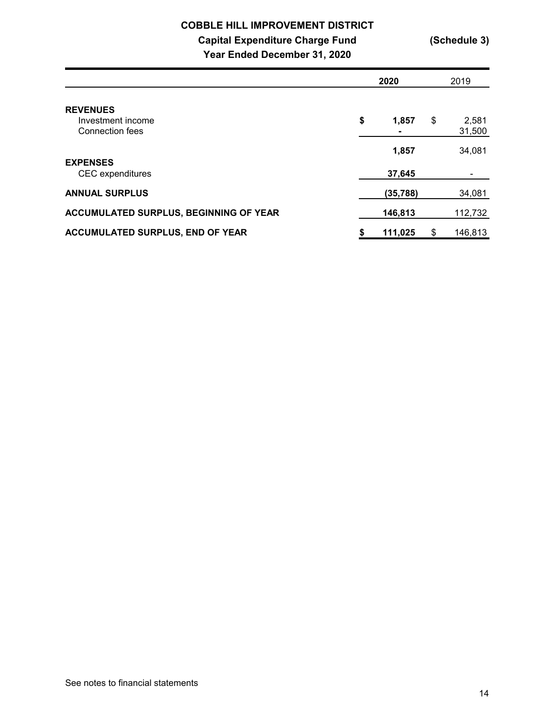### **COBBLE HILL IMPROVEMENT DISTRICT Capital Expenditure Charge Fund (Schedule 3) Year Ended December 31, 2020**

# **2020** 2019 **REVENUES** Investment income **\$ 1,857** \$ 2,581 Connection fees **-** 31,500 **1,857** 34,081 **EXPENSES** CEC expenditures **37,645** -**ANNUAL SURPLUS (35,788)** 34,081 ACCUMULATED SURPLUS, BEGINNING OF YEAR 146,813 112,732 **ACCUMULATED SURPLUS, END OF YEAR \$ 111,025** \$ 146,813